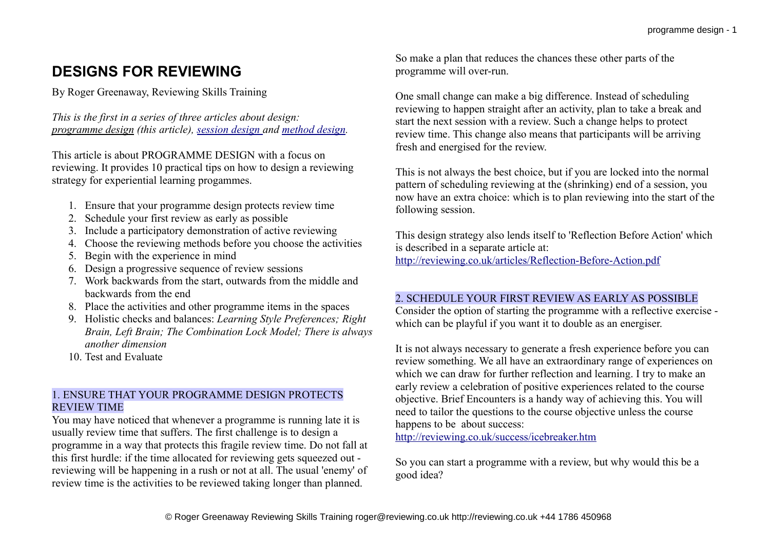# **DESIGNS FOR REVIEWING**

By Roger Greenaway, Reviewing Skills Training

*This is the first in a series of three articles about design: programme design (this article), [session design a](http://reviewing.co.uk/archives/art/13_5_designing_review_sessions.htm)nd [method design.](http://reviewing.co.uk/archives/art/13_6_designing_review_methods.htm)*

This article is about PROGRAMME DESIGN with a focus on reviewing. It provides 10 practical tips on how to design a reviewing strategy for experiential learning progammes.

- 1. Ensure that your programme design protects review time
- 2. Schedule your first review as early as possible
- 3. Include a participatory demonstration of active reviewing
- 4. Choose the reviewing methods before you choose the activities
- 5. Begin with the experience in mind
- 6. Design a progressive sequence of review sessions
- 7. Work backwards from the start, outwards from the middle and backwards from the end
- 8. Place the activities and other programme items in the spaces
- 9. Holistic checks and balances: *Learning Style Preferences; Right Brain, Left Brain; The Combination Lock Model; There is always another dimension*
- 10. Test and Evaluate

# 1. ENSURE THAT YOUR PROGRAMME DESIGN PROTECTS REVIEW TIME

You may have noticed that whenever a programme is running late it is usually review time that suffers. The first challenge is to design a programme in a way that protects this fragile review time. Do not fall at this first hurdle: if the time allocated for reviewing gets squeezed out reviewing will be happening in a rush or not at all. The usual 'enemy' of review time is the activities to be reviewed taking longer than planned.

So make a plan that reduces the chances these other parts of the programme will over-run.

One small change can make a big difference. Instead of scheduling reviewing to happen straight after an activity, plan to take a break and start the next session with a review. Such a change helps to protect review time. This change also means that participants will be arriving fresh and energised for the review.

This is not always the best choice, but if you are locked into the normal pattern of scheduling reviewing at the (shrinking) end of a session, you now have an extra choice: which is to plan reviewing into the start of the following session.

This design strategy also lends itself to 'Reflection Before Action' which is described in a separate article at: <http://reviewing.co.uk/articles/Reflection-Before-Action.pdf>

# 2. SCHEDULE YOUR FIRST REVIEW AS EARLY AS POSSIBLE

Consider the option of starting the programme with a reflective exercise which can be playful if you want it to double as an energiser.

It is not always necessary to generate a fresh experience before you can review something. We all have an extraordinary range of experiences on which we can draw for further reflection and learning. I try to make an early review a celebration of positive experiences related to the course objective. Brief Encounters is a handy way of achieving this. You will need to tailor the questions to the course objective unless the course happens to be about success:

<http://reviewing.co.uk/success/icebreaker.htm>

So you can start a programme with a review, but why would this be a good idea?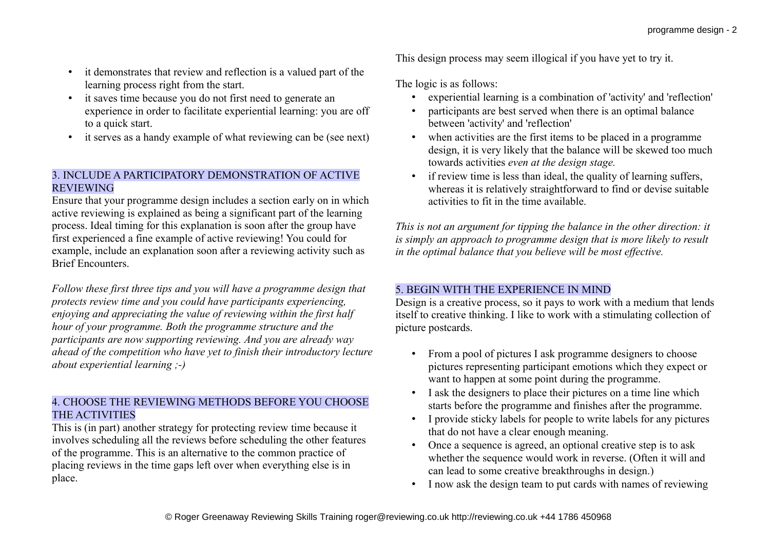- it demonstrates that review and reflection is a valued part of the learning process right from the start.
- it saves time because you do not first need to generate an experience in order to facilitate experiential learning: you are off to a quick start.
- it serves as a handy example of what reviewing can be (see next)

### 3. INCLUDE A PARTICIPATORY DEMONSTRATION OF ACTIVE **REVIEWING**

Ensure that your programme design includes a section early on in which active reviewing is explained as being a significant part of the learning process. Ideal timing for this explanation is soon after the group have first experienced a fine example of active reviewing! You could for example, include an explanation soon after a reviewing activity such as Brief Encounters.

*Follow these first three tips and you will have a programme design that protects review time and you could have participants experiencing, enjoying and appreciating the value of reviewing within the first half hour of your programme. Both the programme structure and the participants are now supporting reviewing. And you are already way ahead of the competition who have yet to finish their introductory lecture about experiential learning ;-)*

# 4. CHOOSE THE REVIEWING METHODS BEFORE YOU CHOOSE THE ACTIVITIES

This is (in part) another strategy for protecting review time because it involves scheduling all the reviews before scheduling the other features of the programme. This is an alternative to the common practice of placing reviews in the time gaps left over when everything else is in place.

This design process may seem illogical if you have yet to try it.

The logic is as follows:

- experiential learning is a combination of 'activity' and 'reflection'
- participants are best served when there is an optimal balance between 'activity' and 'reflection'
- when activities are the first items to be placed in a programme design, it is very likely that the balance will be skewed too much towards activities *even at the design stage.*
- if review time is less than ideal, the quality of learning suffers. whereas it is relatively straightforward to find or devise suitable activities to fit in the time available.

*This is not an argument for tipping the balance in the other direction: it is simply an approach to programme design that is more likely to result in the optimal balance that you believe will be most effective.*

# 5. BEGIN WITH THE EXPERIENCE IN MIND

Design is a creative process, so it pays to work with a medium that lends itself to creative thinking. I like to work with a stimulating collection of picture postcards.

- From a pool of pictures I ask programme designers to choose pictures representing participant emotions which they expect or want to happen at some point during the programme.
- I ask the designers to place their pictures on a time line which starts before the programme and finishes after the programme.
- I provide sticky labels for people to write labels for any pictures that do not have a clear enough meaning.
- Once a sequence is agreed, an optional creative step is to ask whether the sequence would work in reverse. (Often it will and can lead to some creative breakthroughs in design.)
- I now ask the design team to put cards with names of reviewing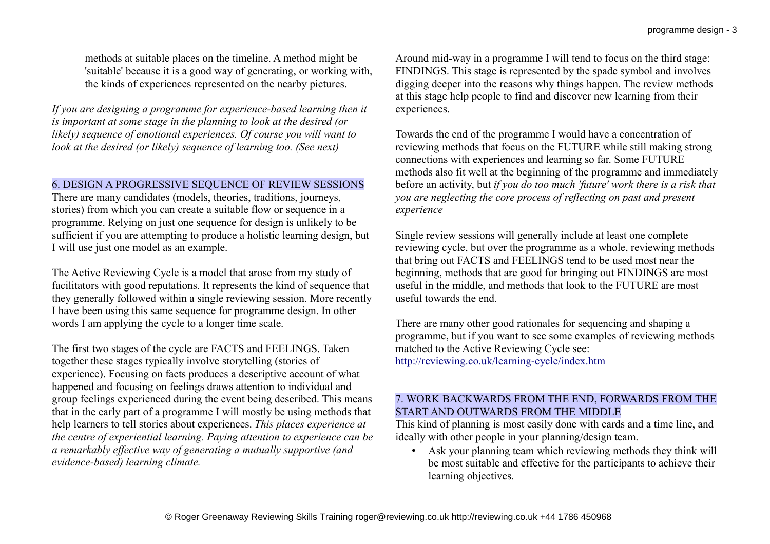methods at suitable places on the timeline. A method might be 'suitable' because it is a good way of generating, or working with, the kinds of experiences represented on the nearby pictures.

*If you are designing a programme for experience-based learning then it is important at some stage in the planning to look at the desired (or likely) sequence of emotional experiences. Of course you will want to look at the desired (or likely) sequence of learning too. (See next)*

### 6. DESIGN A PROGRESSIVE SEQUENCE OF REVIEW SESSIONS

There are many candidates (models, theories, traditions, journeys, stories) from which you can create a suitable flow or sequence in a programme. Relying on just one sequence for design is unlikely to be sufficient if you are attempting to produce a holistic learning design, but I will use just one model as an example.

The Active Reviewing Cycle is a model that arose from my study of facilitators with good reputations. It represents the kind of sequence that they generally followed within a single reviewing session. More recently I have been using this same sequence for programme design. In other words I am applying the cycle to a longer time scale.

The first two stages of the cycle are FACTS and FEELINGS. Taken together these stages typically involve storytelling (stories of experience). Focusing on facts produces a descriptive account of what happened and focusing on feelings draws attention to individual and group feelings experienced during the event being described. This means that in the early part of a programme I will mostly be using methods that help learners to tell stories about experiences. *This places experience at the centre of experiential learning. Paying attention to experience can be a remarkably effective way of generating a mutually supportive (and evidence-based) learning climate.*

Around mid-way in a programme I will tend to focus on the third stage: FINDINGS. This stage is represented by the spade symbol and involves digging deeper into the reasons why things happen. The review methods at this stage help people to find and discover new learning from their experiences.

Towards the end of the programme I would have a concentration of reviewing methods that focus on the FUTURE while still making strong connections with experiences and learning so far. Some FUTURE methods also fit well at the beginning of the programme and immediately before an activity, but *if you do too much 'future' work there is a risk that you are neglecting the core process of reflecting on past and present experience*

Single review sessions will generally include at least one complete reviewing cycle, but over the programme as a whole, reviewing methods that bring out FACTS and FEELINGS tend to be used most near the beginning, methods that are good for bringing out FINDINGS are most useful in the middle, and methods that look to the FUTURE are most useful towards the end.

There are many other good rationales for sequencing and shaping a programme, but if you want to see some examples of reviewing methods matched to the Active Reviewing Cycle see: <http://reviewing.co.uk/learning-cycle/index.htm>

### 7. WORK BACKWARDS FROM THE END, FORWARDS FROM THE START AND OUTWARDS FROM THE MIDDLE

This kind of planning is most easily done with cards and a time line, and ideally with other people in your planning/design team.

• Ask your planning team which reviewing methods they think will be most suitable and effective for the participants to achieve their learning objectives.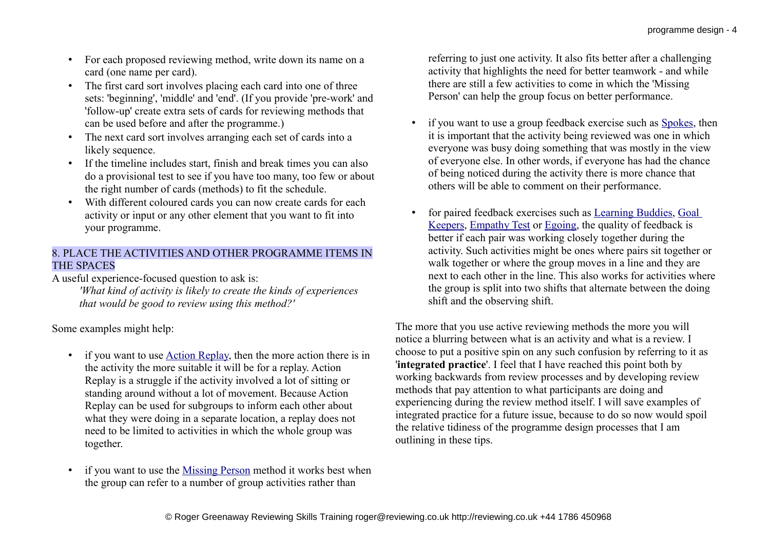- For each proposed reviewing method, write down its name on a card (one name per card).
- The first card sort involves placing each card into one of three sets: 'beginning', 'middle' and 'end'. (If you provide 'pre-work' and 'follow-up' create extra sets of cards for reviewing methods that can be used before and after the programme.)
- The next card sort involves arranging each set of cards into a likely sequence.
- If the timeline includes start, finish and break times you can also do a provisional test to see if you have too many, too few or about the right number of cards (methods) to fit the schedule.
- With different coloured cards you can now create cards for each activity or input or any other element that you want to fit into your programme.

### 8. PLACE THE ACTIVITIES AND OTHER PROGRAMME ITEMS IN THE SPACES

A useful experience-focused question to ask is:

*'What kind of activity is likely to create the kinds of experiences that would be good to review using this method?'*

Some examples might help:

- if you want to use <u>Action Replay</u>, then the more action there is in the activity the more suitable it will be for a replay. Action Replay is a struggle if the activity involved a lot of sitting or standing around without a lot of movement. Because Action Replay can be used for subgroups to inform each other about what they were doing in a separate location, a replay does not need to be limited to activities in which the whole group was together.
- if you want to use the [Missing Person](http://reviewing.co.uk/articles/ropes.htm#MISSING_PERSON) method it works best when the group can refer to a number of group activities rather than

referring to just one activity. It also fits better after a challenging activity that highlights the need for better teamwork - and while there are still a few activities to come in which the 'Missing Person' can help the group focus on better performance.

- if you want to use a group feedback exercise such as [Spokes,](http://reviewing.co.uk/articles/ropes.htm#SPOKES) then it is important that the activity being reviewed was one in which everyone was busy doing something that was mostly in the view of everyone else. In other words, if everyone has had the chance of being noticed during the activity there is more chance that others will be able to comment on their performance.
- for paired feedback exercises such as [Learning Buddies,](http://reviewing.co.uk/archives/art/9_4.htm#LEARNING_BUDDIES) [Goal](http://reviewing.co.uk/archives/art/1_6.htm#goal) [Keepers,](http://reviewing.co.uk/archives/art/1_6.htm#goal) [Empathy Test](http://reviewing.co.uk/archives/art/5_1.htm#31) or [Egoing,](http://reviewing.co.uk/archives/art/3_9.htm#EGOING) the quality of feedback is better if each pair was working closely together during the activity. Such activities might be ones where pairs sit together or walk together or where the group moves in a line and they are next to each other in the line. This also works for activities where the group is split into two shifts that alternate between the doing shift and the observing shift.

The more that you use active reviewing methods the more you will notice a blurring between what is an activity and what is a review. I choose to put a positive spin on any such confusion by referring to it as '**integrated practice**'. I feel that I have reached this point both by working backwards from review processes and by developing review methods that pay attention to what participants are doing and experiencing during the review method itself. I will save examples of integrated practice for a future issue, because to do so now would spoil the relative tidiness of the programme design processes that I am outlining in these tips.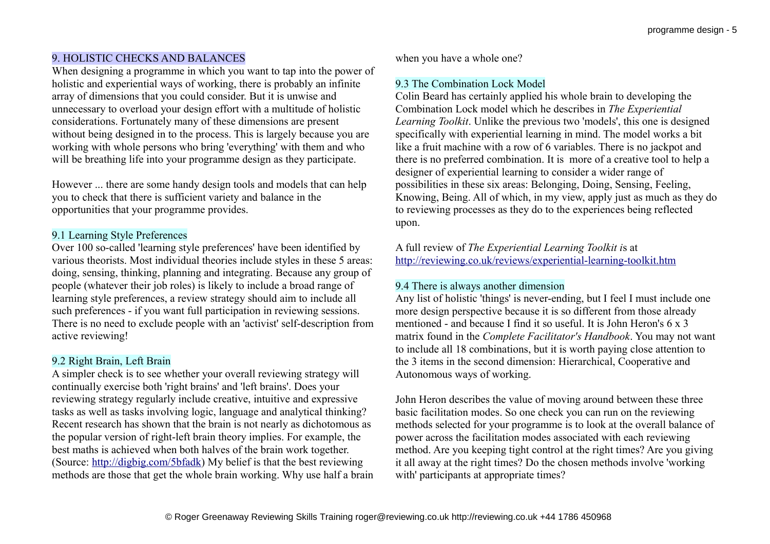# 9. HOLISTIC CHECKS AND BALANCES

When designing a programme in which you want to tap into the power of holistic and experiential ways of working, there is probably an infinite array of dimensions that you could consider. But it is unwise and unnecessary to overload your design effort with a multitude of holistic considerations. Fortunately many of these dimensions are present without being designed in to the process. This is largely because you are working with whole persons who bring 'everything' with them and who will be breathing life into your programme design as they participate.

However ... there are some handy design tools and models that can help you to check that there is sufficient variety and balance in the opportunities that your programme provides.

### 9.1 Learning Style Preferences

Over 100 so-called 'learning style preferences' have been identified by various theorists. Most individual theories include styles in these 5 areas: doing, sensing, thinking, planning and integrating. Because any group of people (whatever their job roles) is likely to include a broad range of learning style preferences, a review strategy should aim to include all such preferences - if you want full participation in reviewing sessions. There is no need to exclude people with an 'activist' self-description from active reviewing!

### 9.2 Right Brain, Left Brain

A simpler check is to see whether your overall reviewing strategy will continually exercise both 'right brains' and 'left brains'. Does your reviewing strategy regularly include creative, intuitive and expressive tasks as well as tasks involving logic, language and analytical thinking? Recent research has shown that the brain is not nearly as dichotomous as the popular version of right-left brain theory implies. For example, the best maths is achieved when both halves of the brain work together. (Source: [http://digbig.com/5bfadk\)](http://digbig.com/5bfadk) My belief is that the best reviewing methods are those that get the whole brain working. Why use half a brain when you have a whole one?

### 9.3 The Combination Lock Model

Colin Beard has certainly applied his whole brain to developing the Combination Lock model which he describes in *The Experiential Learning Toolkit*. Unlike the previous two 'models', this one is designed specifically with experiential learning in mind. The model works a bit like a fruit machine with a row of 6 variables. There is no jackpot and there is no preferred combination. It is more of a creative tool to help a designer of experiential learning to consider a wider range of possibilities in these six areas: Belonging, Doing, Sensing, Feeling, Knowing, Being. All of which, in my view, apply just as much as they do to reviewing processes as they do to the experiences being reflected upon.

A full review of *The Experiential Learning Toolkit i*s at <http://reviewing.co.uk/reviews/experiential-learning-toolkit.htm>

### 9.4 There is always another dimension

Any list of holistic 'things' is never-ending, but I feel I must include one more design perspective because it is so different from those already mentioned - and because I find it so useful. It is John Heron's 6 x 3 matrix found in the *Complete Facilitator's Handbook*. You may not want to include all 18 combinations, but it is worth paying close attention to the 3 items in the second dimension: Hierarchical, Cooperative and Autonomous ways of working.

John Heron describes the value of moving around between these three basic facilitation modes. So one check you can run on the reviewing methods selected for your programme is to look at the overall balance of power across the facilitation modes associated with each reviewing method. Are you keeping tight control at the right times? Are you giving it all away at the right times? Do the chosen methods involve 'working with' participants at appropriate times?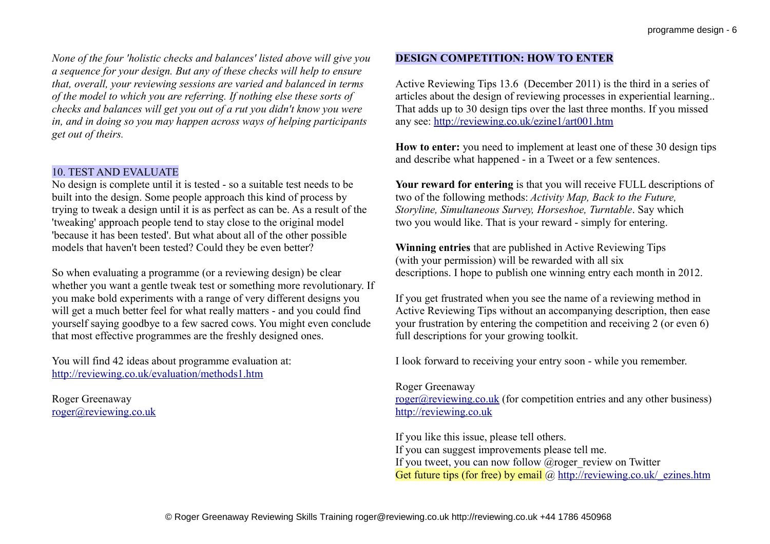*None of the four 'holistic checks and balances' listed above will give you a sequence for your design. But any of these checks will help to ensure that, overall, your reviewing sessions are varied and balanced in terms of the model to which you are referring. If nothing else these sorts of checks and balances will get you out of a rut you didn't know you were in, and in doing so you may happen across ways of helping participants get out of theirs.*

#### 10. TEST AND EVALUATE

No design is complete until it is tested - so a suitable test needs to be built into the design. Some people approach this kind of process by trying to tweak a design until it is as perfect as can be. As a result of the 'tweaking' approach people tend to stay close to the original model 'because it has been tested'. But what about all of the other possible models that haven't been tested? Could they be even better?

So when evaluating a programme (or a reviewing design) be clear whether you want a gentle tweak test or something more revolutionary. If you make bold experiments with a range of very different designs you will get a much better feel for what really matters - and you could find yourself saying goodbye to a few sacred cows. You might even conclude that most effective programmes are the freshly designed ones.

You will find 42 ideas about programme evaluation at: <http://reviewing.co.uk/evaluation/methods1.htm>

Roger Greenaway [roger@reviewing.co.uk](mailto:roger@reviewing.co.uk)

### **DESIGN COMPETITION: HOW TO ENTER**

Active Reviewing Tips 13.6 (December 2011) is the third in a series of articles about the design of reviewing processes in experiential learning.. That adds up to 30 design tips over the last three months. If you missed any see:<http://reviewing.co.uk/ezine1/art001.htm>

**How to enter:** you need to implement at least one of these 30 design tips and describe what happened - in a Tweet or a few sentences.

**Your reward for entering** is that you will receive FULL descriptions of two of the following methods: *Activity Map, Back to the Future, Storyline, Simultaneous Survey, Horseshoe, Turntable*. Say which two you would like. That is your reward - simply for entering.

**Winning entries** that are published in Active Reviewing Tips (with your permission) will be rewarded with all six descriptions. I hope to publish one winning entry each month in 2012.

If you get frustrated when you see the name of a reviewing method in Active Reviewing Tips without an accompanying description, then ease your frustration by entering the competition and receiving 2 (or even 6) full descriptions for your growing toolkit.

I look forward to receiving your entry soon - while you remember.

#### Roger Greenaway

[roger@reviewing.co.uk](mailto:roger@reviewing.co.uk) (for competition entries and any other business) [http://reviewing.co.uk](http://reviewing.co.uk/)

If you like this issue, please tell others. If you can suggest improvements please tell me. If you tweet, you can now follow  $@$  roger review on Twitter Get future tips (for free) by email  $\omega$  http://reviewing.co.uk/ ezines.htm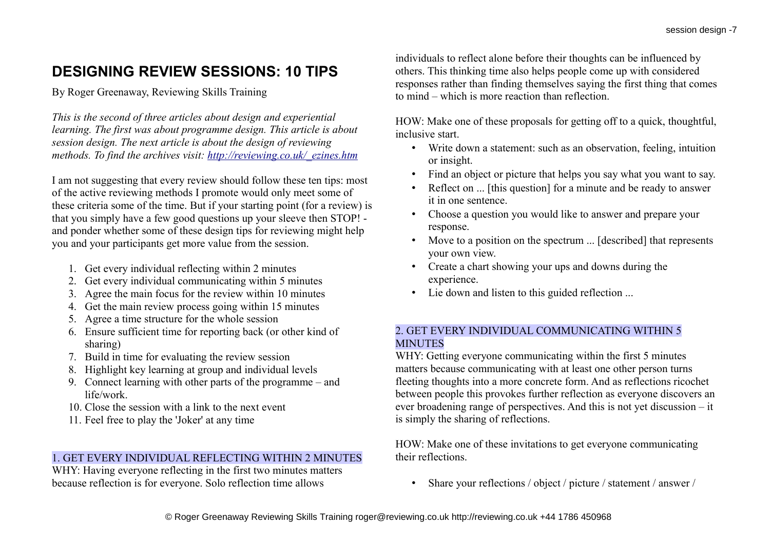# **DESIGNING REVIEW SESSIONS: 10 TIPS**

By Roger Greenaway, Reviewing Skills Training

*This is the second of three articles about design and experiential learning. The first was about programme design. This article is about session design. The next article is about the design of reviewing methods. To find the archives visit: [http://reviewing.co.uk/\\_ezines.htm](http://reviewing.co.uk/_ezines.htm)*

I am not suggesting that every review should follow these ten tips: most of the active reviewing methods I promote would only meet some of these criteria some of the time. But if your starting point (for a review) is that you simply have a few good questions up your sleeve then STOP! and ponder whether some of these design tips for reviewing might help you and your participants get more value from the session.

- 1. Get every individual reflecting within 2 minutes
- 2. Get every individual communicating within 5 minutes
- 3. Agree the main focus for the review within 10 minutes
- 4. Get the main review process going within 15 minutes
- 5. Agree a time structure for the whole session
- 6. Ensure sufficient time for reporting back (or other kind of sharing)
- 7. Build in time for evaluating the review session
- 8. Highlight key learning at group and individual levels
- 9. Connect learning with other parts of the programme and life/work.
- 10. Close the session with a link to the next event
- 11. Feel free to play the 'Joker' at any time

# 1. GET EVERY INDIVIDUAL REFLECTING WITHIN 2 MINUTES

WHY: Having everyone reflecting in the first two minutes matters because reflection is for everyone. Solo reflection time allows

individuals to reflect alone before their thoughts can be influenced by others. This thinking time also helps people come up with considered responses rather than finding themselves saying the first thing that comes to mind – which is more reaction than reflection.

HOW: Make one of these proposals for getting off to a quick, thoughtful, inclusive start.

- Write down a statement: such as an observation, feeling, intuition or insight.
- Find an object or picture that helps you say what you want to say.
- Reflect on ... [this question] for a minute and be ready to answer it in one sentence.
- Choose a question you would like to answer and prepare your response.
- Move to a position on the spectrum ... [described] that represents your own view.
- Create a chart showing your ups and downs during the experience.
- Lie down and listen to this guided reflection ...

### 2. GET EVERY INDIVIDUAL COMMUNICATING WITHIN 5 MINUTES

WHY: Getting everyone communicating within the first 5 minutes matters because communicating with at least one other person turns fleeting thoughts into a more concrete form. And as reflections ricochet between people this provokes further reflection as everyone discovers an ever broadening range of perspectives. And this is not yet discussion – it is simply the sharing of reflections.

HOW: Make one of these invitations to get everyone communicating their reflections.

• Share your reflections / object / picture / statement / answer /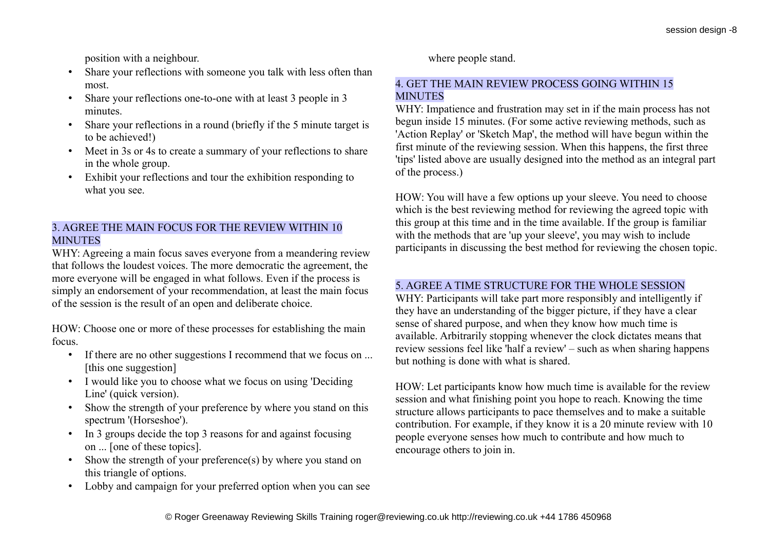position with a neighbour.

- Share your reflections with someone you talk with less often than most.
- Share your reflections one-to-one with at least 3 people in 3 minutes.
- Share your reflections in a round (briefly if the 5 minute target is to be achieved!)
- Meet in 3s or 4s to create a summary of your reflections to share in the whole group.
- Exhibit your reflections and tour the exhibition responding to what you see.

### 3. AGREE THE MAIN FOCUS FOR THE REVIEW WITHIN 10 **MINUTES**

WHY: Agreeing a main focus saves everyone from a meandering review that follows the loudest voices. The more democratic the agreement, the more everyone will be engaged in what follows. Even if the process is simply an endorsement of your recommendation, at least the main focus of the session is the result of an open and deliberate choice.

HOW: Choose one or more of these processes for establishing the main focus.

- If there are no other suggestions I recommend that we focus on ... [this one suggestion]
- I would like you to choose what we focus on using 'Deciding Line' (quick version).
- Show the strength of your preference by where you stand on this spectrum '(Horseshoe').
- In 3 groups decide the top 3 reasons for and against focusing on ... [one of these topics].
- Show the strength of your preference(s) by where you stand on this triangle of options.
- Lobby and campaign for your preferred option when you can see

where people stand.

### 4. GET THE MAIN REVIEW PROCESS GOING WITHIN 15 **MINUTES**

WHY: Impatience and frustration may set in if the main process has not begun inside 15 minutes. (For some active reviewing methods, such as 'Action Replay' or 'Sketch Map', the method will have begun within the first minute of the reviewing session. When this happens, the first three 'tips' listed above are usually designed into the method as an integral part of the process.)

HOW: You will have a few options up your sleeve. You need to choose which is the best reviewing method for reviewing the agreed topic with this group at this time and in the time available. If the group is familiar with the methods that are 'up your sleeve', you may wish to include participants in discussing the best method for reviewing the chosen topic.

# 5. AGREE A TIME STRUCTURE FOR THE WHOLE SESSION

WHY: Participants will take part more responsibly and intelligently if they have an understanding of the bigger picture, if they have a clear sense of shared purpose, and when they know how much time is available. Arbitrarily stopping whenever the clock dictates means that review sessions feel like 'half a review' – such as when sharing happens but nothing is done with what is shared.

HOW: Let participants know how much time is available for the review session and what finishing point you hope to reach. Knowing the time structure allows participants to pace themselves and to make a suitable contribution. For example, if they know it is a 20 minute review with 10 people everyone senses how much to contribute and how much to encourage others to join in.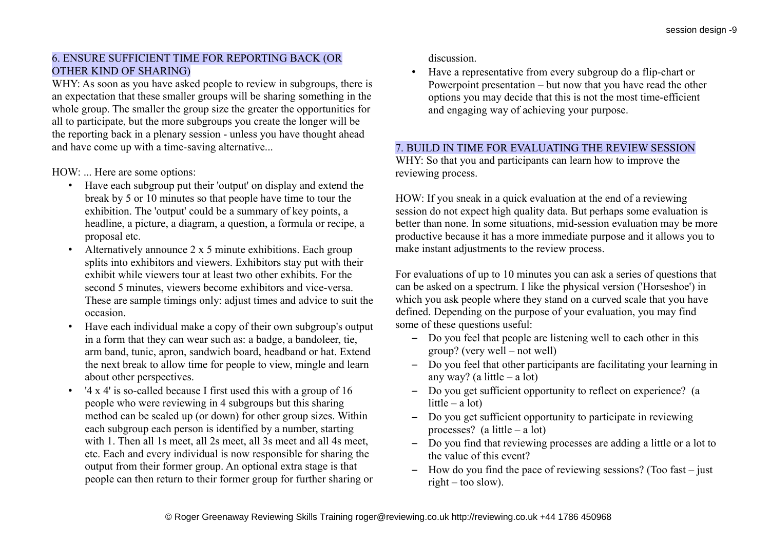# 6. ENSURE SUFFICIENT TIME FOR REPORTING BACK (OR OTHER KIND OF SHARING)

WHY: As soon as you have asked people to review in subgroups, there is an expectation that these smaller groups will be sharing something in the whole group. The smaller the group size the greater the opportunities for all to participate, but the more subgroups you create the longer will be the reporting back in a plenary session - unless you have thought ahead and have come up with a time-saving alternative...

HOW: ... Here are some options:

- Have each subgroup put their 'output' on display and extend the break by 5 or 10 minutes so that people have time to tour the exhibition. The 'output' could be a summary of key points, a headline, a picture, a diagram, a question, a formula or recipe, a proposal etc.
- Alternatively announce 2 x 5 minute exhibitions. Each group splits into exhibitors and viewers. Exhibitors stay put with their exhibit while viewers tour at least two other exhibits. For the second 5 minutes, viewers become exhibitors and vice-versa. These are sample timings only: adjust times and advice to suit the occasion.
- Have each individual make a copy of their own subgroup's output in a form that they can wear such as: a badge, a bandoleer, tie, arm band, tunic, apron, sandwich board, headband or hat. Extend the next break to allow time for people to view, mingle and learn about other perspectives.
- '4 x 4' is so-called because I first used this with a group of 16 people who were reviewing in 4 subgroups but this sharing method can be scaled up (or down) for other group sizes. Within each subgroup each person is identified by a number, starting with 1. Then all 1s meet, all 2s meet, all 3s meet and all 4s meet, etc. Each and every individual is now responsible for sharing the output from their former group. An optional extra stage is that people can then return to their former group for further sharing or

discussion.

• Have a representative from every subgroup do a flip-chart or Powerpoint presentation – but now that you have read the other options you may decide that this is not the most time-efficient and engaging way of achieving your purpose.

# 7. BUILD IN TIME FOR EVALUATING THE REVIEW SESSION

WHY: So that you and participants can learn how to improve the reviewing process.

HOW: If you sneak in a quick evaluation at the end of a reviewing session do not expect high quality data. But perhaps some evaluation is better than none. In some situations, mid-session evaluation may be more productive because it has a more immediate purpose and it allows you to make instant adjustments to the review process.

For evaluations of up to 10 minutes you can ask a series of questions that can be asked on a spectrum. I like the physical version ('Horseshoe') in which you ask people where they stand on a curved scale that you have defined. Depending on the purpose of your evaluation, you may find some of these questions useful:

- Do you feel that people are listening well to each other in this group? (very well – not well)
- Do you feel that other participants are facilitating your learning in any way? (a little  $-$  a lot)
- Do you get sufficient opportunity to reflect on experience? (a little – a lot)
- Do you get sufficient opportunity to participate in reviewing processes? (a little – a lot)
- Do you find that reviewing processes are adding a little or a lot to the value of this event?
- How do you find the pace of reviewing sessions? (Too fast just right – too slow).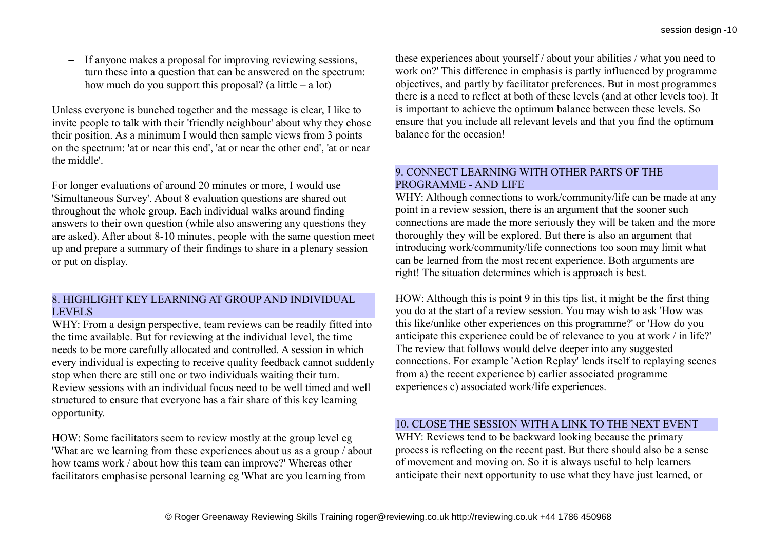– If anyone makes a proposal for improving reviewing sessions, turn these into a question that can be answered on the spectrum: how much do you support this proposal? (a little – a lot)

Unless everyone is bunched together and the message is clear, I like to invite people to talk with their 'friendly neighbour' about why they chose their position. As a minimum I would then sample views from 3 points on the spectrum: 'at or near this end', 'at or near the other end', 'at or near the middle'.

For longer evaluations of around 20 minutes or more, I would use 'Simultaneous Survey'. About 8 evaluation questions are shared out throughout the whole group. Each individual walks around finding answers to their own question (while also answering any questions they are asked). After about 8-10 minutes, people with the same question meet up and prepare a summary of their findings to share in a plenary session or put on display.

### 8. HIGHLIGHT KEY LEARNING AT GROUP AND INDIVIDUAL LEVELS

WHY: From a design perspective, team reviews can be readily fitted into the time available. But for reviewing at the individual level, the time needs to be more carefully allocated and controlled. A session in which every individual is expecting to receive quality feedback cannot suddenly stop when there are still one or two individuals waiting their turn. Review sessions with an individual focus need to be well timed and well structured to ensure that everyone has a fair share of this key learning opportunity.

HOW: Some facilitators seem to review mostly at the group level eg 'What are we learning from these experiences about us as a group / about how teams work / about how this team can improve?' Whereas other facilitators emphasise personal learning eg 'What are you learning from

these experiences about yourself / about your abilities / what you need to work on?' This difference in emphasis is partly influenced by programme objectives, and partly by facilitator preferences. But in most programmes there is a need to reflect at both of these levels (and at other levels too). It is important to achieve the optimum balance between these levels. So ensure that you include all relevant levels and that you find the optimum balance for the occasion!

### 9. CONNECT LEARNING WITH OTHER PARTS OF THE PROGRAMME - AND LIFE

WHY: Although connections to work/community/life can be made at any point in a review session, there is an argument that the sooner such connections are made the more seriously they will be taken and the more thoroughly they will be explored. But there is also an argument that introducing work/community/life connections too soon may limit what can be learned from the most recent experience. Both arguments are right! The situation determines which is approach is best.

HOW: Although this is point 9 in this tips list, it might be the first thing you do at the start of a review session. You may wish to ask 'How was this like/unlike other experiences on this programme?' or 'How do you anticipate this experience could be of relevance to you at work / in life?' The review that follows would delve deeper into any suggested connections. For example 'Action Replay' lends itself to replaying scenes from a) the recent experience b) earlier associated programme experiences c) associated work/life experiences.

# 10. CLOSE THE SESSION WITH A LINK TO THE NEXT EVENT

WHY: Reviews tend to be backward looking because the primary process is reflecting on the recent past. But there should also be a sense of movement and moving on. So it is always useful to help learners anticipate their next opportunity to use what they have just learned, or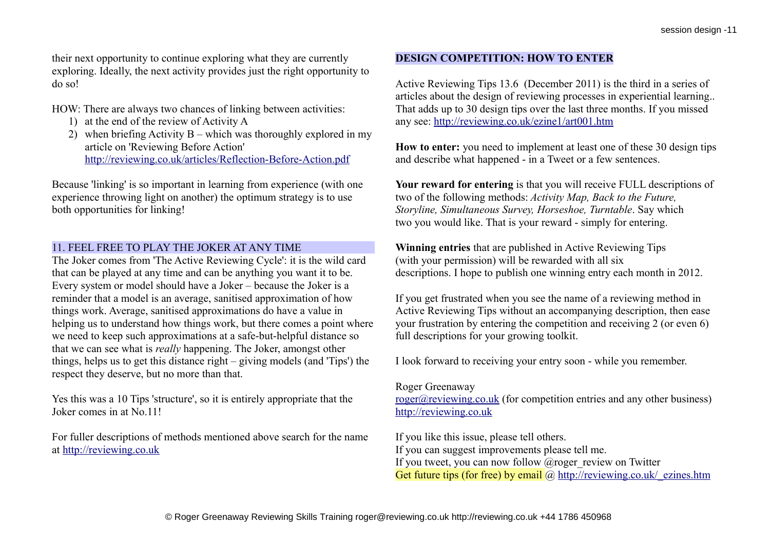their next opportunity to continue exploring what they are currently exploring. Ideally, the next activity provides just the right opportunity to do so!

HOW: There are always two chances of linking between activities:

- 1) at the end of the review of Activity A
- 2) when briefing Activity B which was thoroughly explored in my article on 'Reviewing Before Action' <http://reviewing.co.uk/articles/Reflection-Before-Action.pdf>

Because 'linking' is so important in learning from experience (with one experience throwing light on another) the optimum strategy is to use both opportunities for linking!

### 11. FEEL FREE TO PLAY THE JOKER AT ANY TIME

The Joker comes from 'The Active Reviewing Cycle': it is the wild card that can be played at any time and can be anything you want it to be. Every system or model should have a Joker – because the Joker is a reminder that a model is an average, sanitised approximation of how things work. Average, sanitised approximations do have a value in helping us to understand how things work, but there comes a point where we need to keep such approximations at a safe-but-helpful distance so that we can see what is *really* happening. The Joker, amongst other things, helps us to get this distance right – giving models (and 'Tips') the respect they deserve, but no more than that.

Yes this was a 10 Tips 'structure', so it is entirely appropriate that the Joker comes in at No.11!

For fuller descriptions of methods mentioned above search for the name at [http://reviewing.co.uk](http://reviewing.co.uk/)

# **DESIGN COMPETITION: HOW TO ENTER**

Active Reviewing Tips 13.6 (December 2011) is the third in a series of articles about the design of reviewing processes in experiential learning.. That adds up to 30 design tips over the last three months. If you missed any see:<http://reviewing.co.uk/ezine1/art001.htm>

**How to enter:** you need to implement at least one of these 30 design tips and describe what happened - in a Tweet or a few sentences.

**Your reward for entering** is that you will receive FULL descriptions of two of the following methods: *Activity Map, Back to the Future, Storyline, Simultaneous Survey, Horseshoe, Turntable*. Say which two you would like. That is your reward - simply for entering.

**Winning entries** that are published in Active Reviewing Tips (with your permission) will be rewarded with all six descriptions. I hope to publish one winning entry each month in 2012.

If you get frustrated when you see the name of a reviewing method in Active Reviewing Tips without an accompanying description, then ease your frustration by entering the competition and receiving 2 (or even 6) full descriptions for your growing toolkit.

I look forward to receiving your entry soon - while you remember.

#### Roger Greenaway

[roger@reviewing.co.uk](mailto:roger@reviewing.co.uk) (for competition entries and any other business) [http://reviewing.co.uk](http://reviewing.co.uk/)

If you like this issue, please tell others. If you can suggest improvements please tell me. If you tweet, you can now follow  $@$  roger review on Twitter Get future tips (for free) by email  $\omega$  http://reviewing.co.uk/ ezines.htm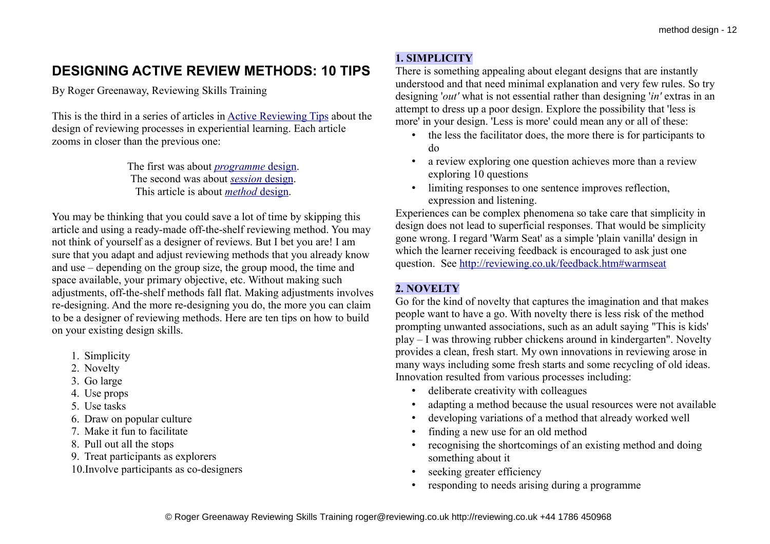# **DESIGNING ACTIVE REVIEW METHODS: 10 TIPS**

By Roger Greenaway, Reviewing Skills Training

This is the third in a series of articles in [Active Reviewing Tips](http://reviewing.co.uk/_ezines.htm) about the design of reviewing processes in experiential learning. Each article zooms in closer than the previous one:

> The first was about *[programme](http://reviewing.co.uk/archives/art/13_4_designs_for_reviewing.htm)* [design.](http://reviewing.co.uk/archives/art/13_4_designs_for_reviewing.htm) The second was about *[session](http://reviewing.co.uk/archives/art/13_5_designing_review_sessions.htm)* [design.](http://reviewing.co.uk/archives/art/13_5_designing_review_sessions.htm) This article is about *[method](http://reviewing.co.uk/archives/art/13_6_designing_review_methods.htm)* [design.](http://reviewing.co.uk/archives/art/13_6_designing_review_methods.htm)

You may be thinking that you could save a lot of time by skipping this article and using a ready-made off-the-shelf reviewing method. You may not think of yourself as a designer of reviews. But I bet you are! I am sure that you adapt and adjust reviewing methods that you already know and use – depending on the group size, the group mood, the time and space available, your primary objective, etc. Without making such adjustments, off-the-shelf methods fall flat. Making adjustments involves re-designing. And the more re-designing you do, the more you can claim to be a designer of reviewing methods. Here are ten tips on how to build on your existing design skills.

- 1. Simplicity
- 2. Novelty
- 3. Go large
- 4. Use props
- 5. Use tasks
- 6. Draw on popular culture
- 7. Make it fun to facilitate
- 8. Pull out all the stops
- 9. Treat participants as explorers
- 10.Involve participants as co-designers

# **1. SIMPLICITY**

There is something appealing about elegant designs that are instantly understood and that need minimal explanation and very few rules. So try designing '*out'* what is not essential rather than designing '*in'* extras in an attempt to dress up a poor design. Explore the possibility that 'less is more' in your design. 'Less is more' could mean any or all of these:

- the less the facilitator does, the more there is for participants to do
- a review exploring one question achieves more than a review exploring 10 questions
- limiting responses to one sentence improves reflection, expression and listening.

Experiences can be complex phenomena so take care that simplicity in design does not lead to superficial responses. That would be simplicity gone wrong. I regard 'Warm Seat' as a simple 'plain vanilla' design in which the learner receiving feedback is encouraged to ask just one question. See<http://reviewing.co.uk/feedback.htm#warmseat>

# **2. NOVELTY**

Go for the kind of novelty that captures the imagination and that makes people want to have a go. With novelty there is less risk of the method prompting unwanted associations, such as an adult saying "This is kids' play – I was throwing rubber chickens around in kindergarten". Novelty provides a clean, fresh start. My own innovations in reviewing arose in many ways including some fresh starts and some recycling of old ideas. Innovation resulted from various processes including:

- deliberate creativity with colleagues
- adapting a method because the usual resources were not available
- developing variations of a method that already worked well
- finding a new use for an old method
- recognising the shortcomings of an existing method and doing something about it
- seeking greater efficiency
- responding to needs arising during a programme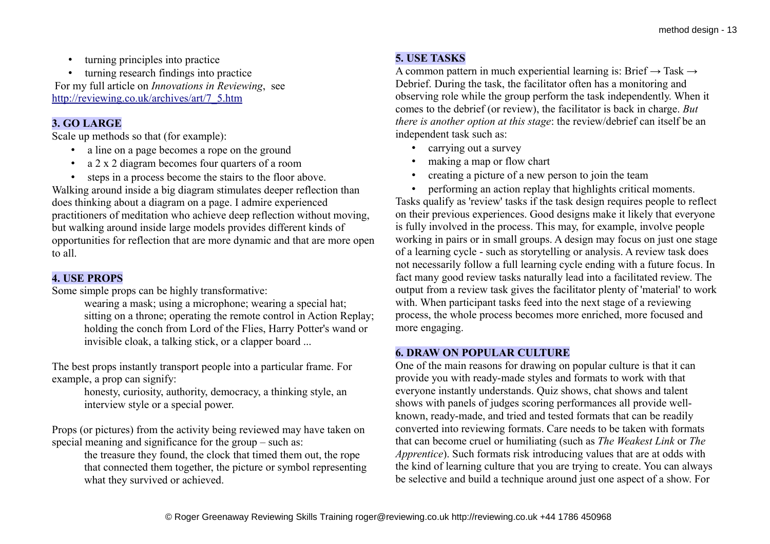• turning principles into practice

• turning research findings into practice For my full article on *Innovations in Reviewing*, see [http://reviewing.co.uk/archives/art/7\\_5.htm](http://reviewing.co.uk/archives/art/7_5.htm)

# **3. GO LARGE**

Scale up methods so that (for example):

- a line on a page becomes a rope on the ground
- a 2 x 2 diagram becomes four quarters of a room
- steps in a process become the stairs to the floor above.

Walking around inside a big diagram stimulates deeper reflection than does thinking about a diagram on a page. I admire experienced practitioners of meditation who achieve deep reflection without moving, but walking around inside large models provides different kinds of opportunities for reflection that are more dynamic and that are more open to all.

# **4. USE PROPS**

Some simple props can be highly transformative:

wearing a mask; using a microphone; wearing a special hat; sitting on a throne; operating the remote control in Action Replay; holding the conch from Lord of the Flies, Harry Potter's wand or invisible cloak, a talking stick, or a clapper board ...

The best props instantly transport people into a particular frame. For example, a prop can signify:

> honesty, curiosity, authority, democracy, a thinking style, an interview style or a special power.

Props (or pictures) from the activity being reviewed may have taken on special meaning and significance for the group – such as:

the treasure they found, the clock that timed them out, the rope that connected them together, the picture or symbol representing what they survived or achieved.

# **5. USE TASKS**

A common pattern in much experiential learning is: Brief  $\rightarrow$  Task  $\rightarrow$ Debrief. During the task, the facilitator often has a monitoring and observing role while the group perform the task independently. When it comes to the debrief (or review), the facilitator is back in charge. *But there is another option at this stage*: the review/debrief can itself be an independent task such as:

- carrying out a survey
- making a map or flow chart
- creating a picture of a new person to join the team
- performing an action replay that highlights critical moments.

Tasks qualify as 'review' tasks if the task design requires people to reflect on their previous experiences. Good designs make it likely that everyone is fully involved in the process. This may, for example, involve people working in pairs or in small groups. A design may focus on just one stage of a learning cycle - such as storytelling or analysis. A review task does not necessarily follow a full learning cycle ending with a future focus. In fact many good review tasks naturally lead into a facilitated review. The output from a review task gives the facilitator plenty of 'material' to work with. When participant tasks feed into the next stage of a reviewing process, the whole process becomes more enriched, more focused and more engaging.

# **6. DRAW ON POPULAR CULTURE**

One of the main reasons for drawing on popular culture is that it can provide you with ready-made styles and formats to work with that everyone instantly understands. Quiz shows, chat shows and talent shows with panels of judges scoring performances all provide wellknown, ready-made, and tried and tested formats that can be readily converted into reviewing formats. Care needs to be taken with formats that can become cruel or humiliating (such as *The Weakest Link* or *The Apprentice*). Such formats risk introducing values that are at odds with the kind of learning culture that you are trying to create. You can always be selective and build a technique around just one aspect of a show. For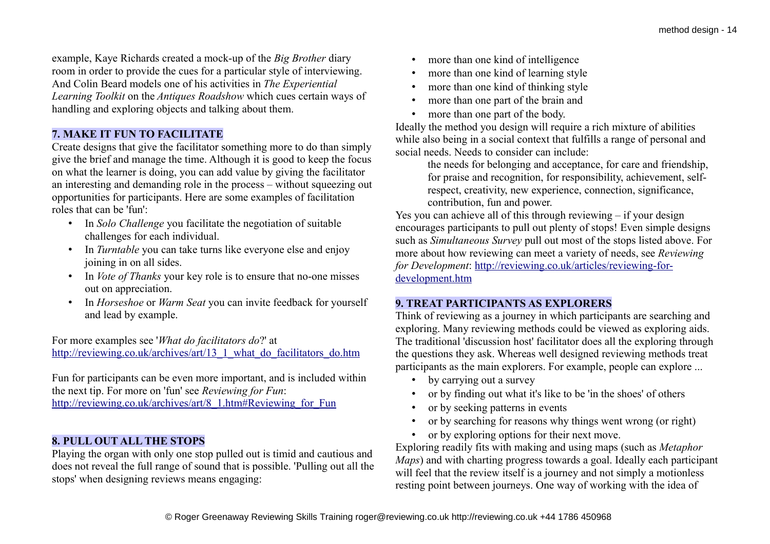example, Kaye Richards created a mock-up of the *Big Brother* diary room in order to provide the cues for a particular style of interviewing. And Colin Beard models one of his activities in *The Experiential Learning Toolkit* on the *Antiques Roadshow* which cues certain ways of handling and exploring objects and talking about them.

# **7. MAKE IT FUN TO FACILITATE**

Create designs that give the facilitator something more to do than simply give the brief and manage the time. Although it is good to keep the focus on what the learner is doing, you can add value by giving the facilitator an interesting and demanding role in the process – without squeezing out opportunities for participants. Here are some examples of facilitation roles that can be 'fun':

- In *Solo Challenge* you facilitate the negotiation of suitable challenges for each individual.
- In *Turntable* you can take turns like everyone else and enjoy joining in on all sides.
- In *Vote of Thanks* your key role is to ensure that no-one misses out on appreciation.
- In *Horseshoe* or *Warm Seat* you can invite feedback for yourself and lead by example.

For more examples see '*What do facilitators do*?' at [http://reviewing.co.uk/archives/art/13\\_1\\_what\\_do\\_facilitators\\_do.htm](http://reviewing.co.uk/archives/art/13_1_what_do_facilitators_do.htm)

Fun for participants can be even more important, and is included within the next tip. For more on 'fun' see *Reviewing for Fun*: [http://reviewing.co.uk/archives/art/8\\_1.htm#Reviewing\\_for\\_Fun](http://reviewing.co.uk/archives/art/8_1.htm#Reviewing_for_Fun)

# **8. PULL OUT ALL THE STOPS**

Playing the organ with only one stop pulled out is timid and cautious and does not reveal the full range of sound that is possible. 'Pulling out all the stops' when designing reviews means engaging:

- more than one kind of intelligence
- more than one kind of learning style
- more than one kind of thinking style
- more than one part of the brain and
- more than one part of the body.

Ideally the method you design will require a rich mixture of abilities while also being in a social context that fulfills a range of personal and social needs. Needs to consider can include:

> the needs for belonging and acceptance, for care and friendship, for praise and recognition, for responsibility, achievement, selfrespect, creativity, new experience, connection, significance, contribution, fun and power.

Yes you can achieve all of this through reviewing – if your design encourages participants to pull out plenty of stops! Even simple designs such as *Simultaneous Survey* pull out most of the stops listed above. For more about how reviewing can meet a variety of needs, see *Reviewing for Development*: [http://reviewing.co.uk/articles/reviewing-for](http://reviewing.co.uk/articles/reviewing-for-development.htm)[development.htm](http://reviewing.co.uk/articles/reviewing-for-development.htm)

# **9. TREAT PARTICIPANTS AS EXPLORERS**

Think of reviewing as a journey in which participants are searching and exploring. Many reviewing methods could be viewed as exploring aids. The traditional 'discussion host' facilitator does all the exploring through the questions they ask. Whereas well designed reviewing methods treat participants as the main explorers. For example, people can explore ...

- by carrying out a survey
- or by finding out what it's like to be 'in the shoes' of others
- or by seeking patterns in events
- or by searching for reasons why things went wrong (or right)
- or by exploring options for their next move.

Exploring readily fits with making and using maps (such as *Metaphor Maps*) and with charting progress towards a goal. Ideally each participant will feel that the review itself is a journey and not simply a motionless resting point between journeys. One way of working with the idea of